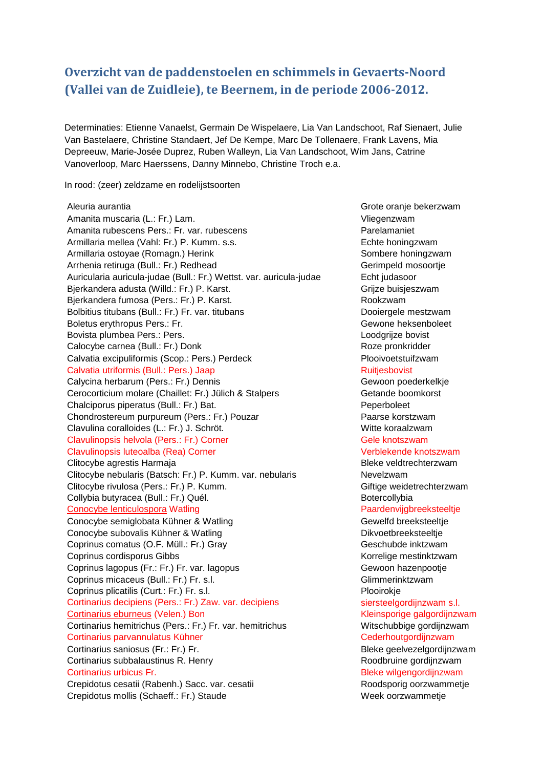# **Overzicht van de paddenstoelen en schimmels in Gevaerts-Noord (Vallei van de Zuidleie), te Beernem, in de periode 2006-2012.**

Determinaties: Etienne Vanaelst, Germain De Wispelaere, Lia Van Landschoot, Raf Sienaert, Julie Van Bastelaere, Christine Standaert, Jef De Kempe, Marc De Tollenaere, Frank Lavens, Mia Depreeuw, Marie-Josée Duprez, Ruben Walleyn, Lia Van Landschoot, Wim Jans, Catrine Vanoverloop, Marc Haerssens, Danny Minnebo, Christine Troch e.a.

In rood: (zeer) zeldzame en rodelijstsoorten

Aleuria aurantia Grote oranje bekerzwam Amanita muscaria (L.: Fr.) Lam. Viegenzwam Amanita rubescens Pers.: Fr. var. rubescens Parelamaniet Armillaria mellea (Vahl: Fr.) P. Kumm. s.s. example and the second techte honingzwam Armillaria ostoyae (Romagn.) Herink Sombere honingzwam Arrhenia retiruga (Bull.: Fr.) Redhead Gerimpeld mosoortje Auricularia auricula-judae (Bull.: Fr.) Wettst. var. auricula-judae Echt judasoor Bjerkandera adusta (Willd.: Fr.) P. Karst. Grimmann Grijze buisjeszwam Bjerkandera fumosa (Pers.: Fr.) P. Karst. Rookzwam Bolbitius titubans (Bull.: Fr.) Fr. var. titubans Dooiergele mestzwam Boletus erythropus Pers.: Fr. Channels Communication of the Gewone heksenboleet Bovista plumbea Pers.: Pers. Loodgrijze bovist Calocybe carnea (Bull.: Fr.) Donk **Roze pronkridder** Roze pronkridder Calvatia excipuliformis (Scop.: Pers.) Perdeck Plooivoetstuifzwam Calvatia utriformis (Bull.: Pers.) Jaap Ruitjesbovist Calycina herbarum (Pers.: Fr.) Dennis Gewoon poederkelkje Cerocorticium molare (Chaillet: Fr.) Jülich & Stalpers Getande boomkorst Chalciporus piperatus (Bull.: Fr.) Bat. Peperboleet Chondrostereum purpureum (Pers.: Fr.) Pouzar Paarse korstzwam Clavulina coralloides (L.: Fr.) J. Schröt. Witte koraalzwam Clavulinopsis helvola (Pers.: Fr.) Corner Gele Clave Gele knotszwam Clavulinopsis luteoalba (Rea) Corner Verblekende knotszwam Clitocybe agrestis Harmaja **Bleke veldtrechterzwam** Clitocybe nebularis (Batsch: Fr.) P. Kumm. var. nebularis Nevelzwam Clitocybe rivulosa (Pers.: Fr.) P. Kumm. Giftige weidetrechterzwam Collybia butyracea (Bull.: Fr.) Quél. **Botercollybia** Botercollybia Conocybe lenticulospora Watling Paardenvijgbreeksteeltje Conocybe semiglobata Kühner & Watling Gewelfd breeksteeltje Conocybe subovalis Kühner & Watling Dikvoetbreeksteeltje Coprinus comatus (O.F. Müll.: Fr.) Gray Geschubde inktzwam Coprinus cordisporus Gibbs **Korrelige mestinktzwam** Coprinus lagopus (Fr.: Fr.) Fr. var. lagopus Gewoon hazenpootje Coprinus micaceus (Bull.: Fr.) Fr. s.l. Glimmerinktzwam Coprinus plicatilis (Curt.: Fr.) Fr. s.l. Plooirokje Cortinarius decipiens (Pers.: Fr.) Zaw. var. decipiens substantive siersteelgordijnzwam s.l. Cortinarius eburneus (Velen.) Bon **Kleinsporige galgordijnzwam** Cortinarius hemitrichus (Pers.: Fr.) Fr. var. hemitrichus Witschubbige gordijnzwam Cortinarius parvannulatus Kühner Center Cederhoutgordijnzwam Cortinarius saniosus (Fr.: Fr.) Fr. Bleke geelvezelgordijnzwam Cortinarius subbalaustinus R. Henry **Roodbruine gordinzwam** Cortinarius urbicus Fr. **Bleke wilgengordijnzwam** Crepidotus cesatii (Rabenh.) Sacc. var. cesatii aan aan aan aan aan Roodsporig oorzwammetje Crepidotus mollis (Schaeff.: Fr.) Staude Week oorzwammetje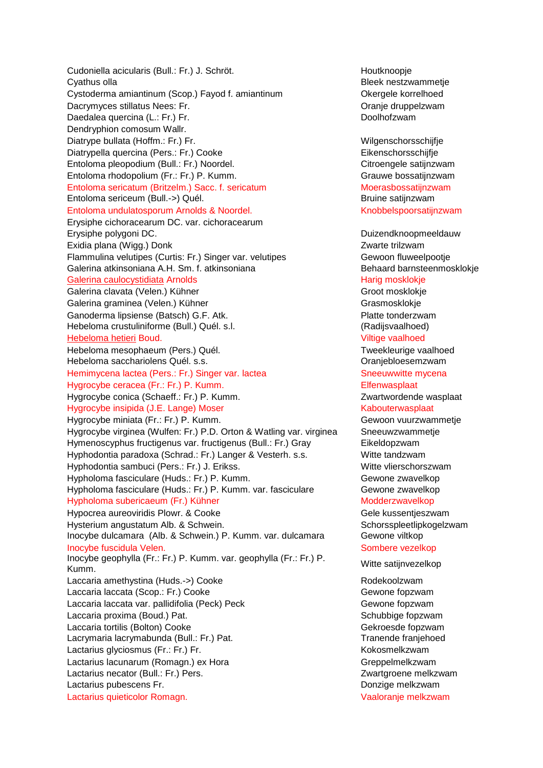Cudoniella acicularis (Bull.: Fr.) J. Schröt. **Houtknoopie** Houtknoopje Cyathus olla Bleek nestzwammetje Cystoderma amiantinum (Scop.) Fayod f. amiantinum **Canadian Controllet Controllet Controllet Controllet Controllet Controllet Controllet Controllet Controllet Controllet Controllet Controllet Controllet Controllet Controll** Dacrymyces stillatus Nees: Fr. Change and Change druppelzwam Daedalea quercina (L.: Fr.) Fr. Doolhofzwam Dendryphion comosum Wallr. Diatrype bullata (Hoffm.: Fr.) Fr. Wilgenschorsschijfje Diatrypella quercina (Pers.: Fr.) Cooke Eikenschorsschijfje Entoloma pleopodium (Bull.: Fr.) Noordel. **Citroengele satijnzwam** Entoloma rhodopolium (Fr.: Fr.) P. Kumm. Grauwe bossatijnzwam Entoloma sericatum (Britzelm.) Sacc. f. sericatum Moerasbossatijnzwam Entoloma sericeum (Bull.->) Quél. Bruine satijnzwam Entoloma undulatosporum Arnolds & Noordel. Knobbelspoorsatijnzwam Erysiphe cichoracearum DC. var. cichoracearum Erysiphe polygoni DC. **Duizendknoopmeeldauw** Exidia plana (Wigg.) Donk **Zwarte trilzwam** Flammulina velutipes (Curtis: Fr.) Singer var. velutipes Gewoon fluweelpootje Galerina atkinsoniana A.H. Sm. f. atkinsoniana Behaard barnsteenmosklokje Galerina caulocystidiata Arnolds **Harig mosklokie** Harig mosklokje Galerina clavata (Velen.) Kühner Groot mosklokje Groot mosklokje Galerina graminea (Velen.) Kühner Grasmosklokje Grasmosklokje Ganoderma lipsiense (Batsch) G.F. Atk. Platte tonderzwam Hebeloma crustuliniforme (Bull.) Quél. s.l. (Radijsvaalhoed) Hebeloma hetieri Boud. Viltige vaalhoed Hebeloma mesophaeum (Pers.) Quél. The manus and the metallic of the metallic value of the metallic value of the metallic value of the metallic value of the metallic value of the metallic value of the metallic value of the Hebeloma sacchariolens Quél. s.s. **Charles and Science and Science Constantine** Oranjebloesemzwam Hemimycena lactea (Pers.: Fr.) Singer var. lactea Sheeuwwitte mycena Hygrocybe ceracea (Fr.: Fr.) P. Kumm. Elfenwasplaat Hygrocybe conica (Schaeff.: Fr.) P. Kumm. New York Changes and Muslim Zwartwordende wasplaat Hygrocybe insipida (J.E. Lange) Moser Kabouterwasplaat Hygrocybe miniata (Fr.: Fr.) P. Kumm. Gewoon vuurzwammetje Hygrocybe virginea (Wulfen: Fr.) P.D. Orton & Watling var. virginea Sneeuwzwammetje Hymenoscyphus fructigenus var. fructigenus (Bull.: Fr.) Gray Eikeldopzwam Hyphodontia paradoxa (Schrad.: Fr.) Langer & Vesterh. s.s. Witte tandzwam Hyphodontia sambuci (Pers.: Fr.) J. Erikss. Witte vlierschorszwam Hypholoma fasciculare (Huds.: Fr.) P. Kumm. Gundam Summan Gewone zwavelkop Hypholoma fasciculare (Huds.: Fr.) P. Kumm. var. fasciculare Gewone zwavelkop Hypholoma subericaeum (Fr.) Kühner Modderzwavelkop Modderzwavelkop Hypocrea aureoviridis Plowr. & Cooke Gele kussentjeszwam Hysterium angustatum Alb. & Schwein. New Schorsspleetlipkogelzwam Inocybe dulcamara (Alb. & Schwein.) P. Kumm. var. dulcamara Gewone viltkop Inocybe fuscidula Velen. Sombere vezelkop version of the state of the state of the Sombere vezelkop Inocybe geophylla (Fr.: Fr.) P. Kumm. var. geophylla (Fr.: Fr.) P. Kumm. Witte satijnvezelkop Laccaria amethystina (Huds.->) Cooke Rodekoolzwam Laccaria laccata (Scop.: Fr.) Cooke Gewone fopzwam Laccaria laccata var. pallidifolia (Peck) Peck Gewone fopzwam Laccaria proxima (Boud.) Pat. Schubbige fopzwam Laccaria tortilis (Bolton) Cooke Gehicle Gekroesde fopzwam Lacrymaria lacrymabunda (Bull.: Fr.) Pat. Tranende franjehoed Lactarius glyciosmus (Fr.: Fr.) Fr. Kokosmelkzwam Lactarius lacunarum (Romagn.) ex Hora Greenpelmelkzwam Greppelmelkzwam Lactarius necator (Bull.: Fr.) Pers. Zwartgroene melkzwam Lactarius pubescens Fr. Donzige melkzwam Lactarius quieticolor Romagn. Vaaloranje melkzwam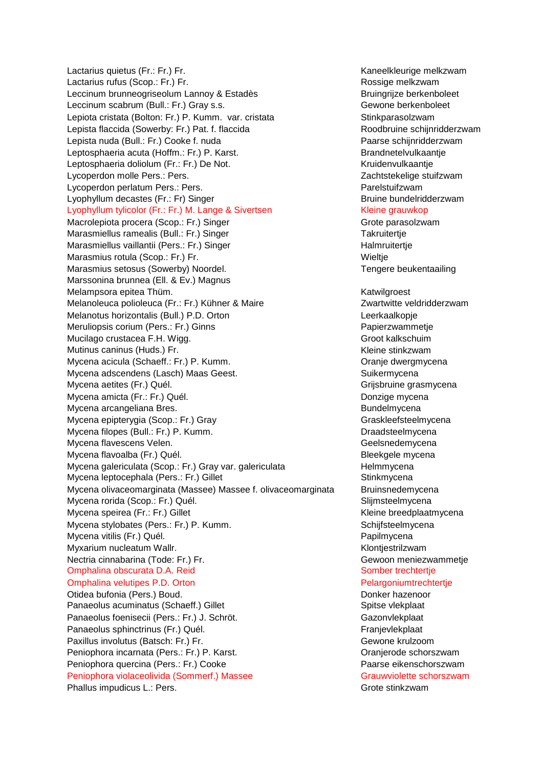Lactarius quietus (Fr.: Fr.) Fr. Kaneelkleurige melkzwam Lactarius rufus (Scop.: Fr.) Fr. Rossige melkzwam Leccinum brunneogriseolum Lannoy & Estadès **Bruingrigum Bruingrijze berkenboleet** Leccinum scabrum (Bull.: Fr.) Gray s.s. Channel Communication of Gewone berkenboleet Lepiota cristata (Bolton: Fr.) P. Kumm. var. cristata Stinkparasolzwam Lepista flaccida (Sowerby: Fr.) Pat. f. flaccida Roodbruine schijnridderzwam Lepista nuda (Bull.: Fr.) Cooke f. nuda Paarse schijnridderzwam Leptosphaeria acuta (Hoffm.: Fr.) P. Karst. Brandnetelvulkaantje Leptosphaeria doliolum (Fr.: Fr.) De Not. Kruidenvulkaantje Lycoperdon molle Pers.: Pers. **New York Contract and American** Properties and Zachtstekelige stuifzwam Lycoperdon perlatum Pers.: Pers. **Parelstuifzwam** Lyophyllum decastes (Fr.: Fr) Singer Bruine bundelridderzwam Lyophyllum tylicolor (Fr.: Fr.) M. Lange & Sivertsen Kleine grauwkop Macrolepiota procera (Scop.: Fr.) Singer Grote parasolzwam Grote parasolzwam Marasmiellus ramealis (Bull.: Fr.) Singer Takruitertje Marasmiellus vaillantii (Pers.: Fr.) Singer **Halmruitertige** Halmruitertje Marasmius rotula (Scop.: Fr.) Fr. Wieltje Marasmius setosus (Sowerby) Noordel. The mate of the set of the Tengere beukentaailing Marssonina brunnea (Ell. & Ev.) Magnus Melampsora epitea Thüm. Katwilgroest Charles and Melampsora epitea Thüm. Melanoleuca polioleuca (Fr.: Fr.) Kühner & Maire **Zwartwitte veldridderzwam** Melanotus horizontalis (Bull.) P.D. Orton Leerkaalkopje Meruliopsis corium (Pers.: Fr.) Ginns **Papiers** Papierzwammetje Mucilago crustacea F.H. Wigg. Groot kalkschuim Mutinus caninus (Huds.) Fr. Kleine stinkzwam Mycena acicula (Schaeff.: Fr.) P. Kumm. Change of the Communication of Change dwergmycena Mycena adscendens (Lasch) Maas Geest. Suikermycena Suikermycena Mycena aetites (Fr.) Quél. Grigoria de la contrasta de la contrasta de la Grijsbruine grasmycena Mycena amicta (Fr.: Fr.) Quél. Donzige mycena Mycena arcangeliana Bres. **Bundelmycena** Bundelmycena Mycena epipterygia (Scop.: Fr.) Gray Grashington Craskleefsteelmycena Mycena filopes (Bull.: Fr.) P. Kumm. Draadsteelmycena Mycena flavescens Velen. Geelsnedemycena by Geelsnedemycena Mycena flavoalba (Fr.) Quél. Bleekgele mycena Mycena galericulata (Scop.: Fr.) Gray var. galericulata enterior enterior Helmmycena Mycena leptocephala (Pers.: Fr.) Gillet Stinkmycena Mycena olivaceomarginata (Massee) Massee f. olivaceomarginata Bruinsnedemycena Mycena rorida (Scop.: Fr.) Quél. Slijmsteelmycena Mycena speirea (Fr.: Fr.) Gillet Kleine breedplaatmycena Mycena stylobates (Pers.: Fr.) P. Kumm. Schiffsteelmycena Mycena vitilis (Fr.) Quél. Papilmycena Myxarium nucleatum Wallr. Klontiestrilzwam Nuxarium Musleatum Wallr. Nectria cinnabarina (Tode: Fr.) Fr. Gewoon meniezwammetje Omphalina obscurata D.A. Reid Somber trechtertje Omphalina velutipes P.D. Orton **Pelargoniumtrechtertje** Otidea bufonia (Pers.) Boud. Donker hazenoor Panaeolus acuminatus (Schaeff.) Gillet Spitse vlekplaat Spitse vlekplaat Panaeolus foenisecii (Pers.: Fr.) J. Schröt. Gazonvlekplaat Panaeolus sphinctrinus (Fr.) Quél. Franjevlekplaat Paxillus involutus (Batsch: Fr.) Fr. Christian Muslem Communisty Cewone kruizoom Peniophora incarnata (Pers.: Fr.) P. Karst. **Carry Communist Communist Cranjerode schorszwam** Peniophora quercina (Pers.: Fr.) Cooke **Paarse eikenschorszwam** Peniophora violaceolivida (Sommerf.) Massee Grauwviolette schorszwam Phallus impudicus L.: Pers. Grote stinkzwam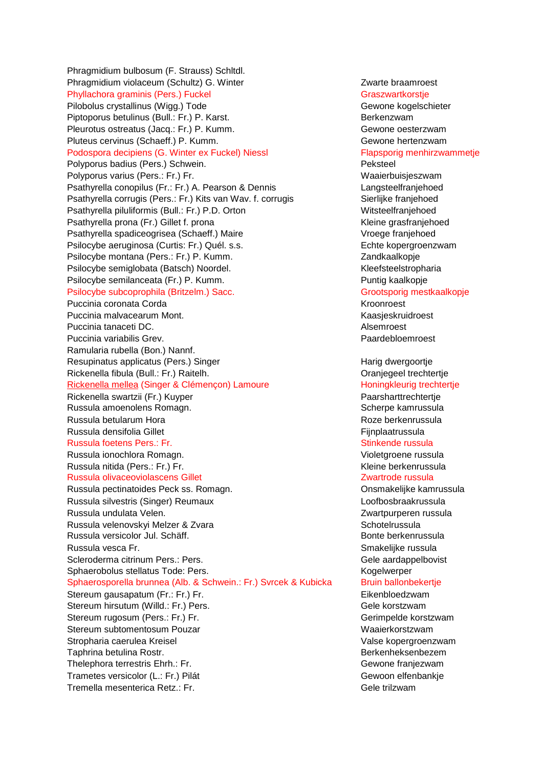Phragmidium bulbosum (F. Strauss) Schltdl. Phragmidium violaceum (Schultz) G. Winter **Network Constructs** Zwarte braamroest Phyllachora graminis (Pers.) Fuckel Graszwartkorstje Pilobolus crystallinus (Wigg.) Tode Gewone kogelschieter Piptoporus betulinus (Bull.: Fr.) P. Karst. Berkenzwam Pleurotus ostreatus (Jacq.: Fr.) P. Kumm. Gewone oesterzwam Pluteus cervinus (Schaeff.) P. Kumm. Gewone hertenzwam Podospora decipiens (G. Winter ex Fuckel) Niessl Flapsporig menhirzwammetje Polyporus badius (Pers.) Schwein. Peksteel Polyporus varius (Pers.: Fr.) Fr. Waaierbuisjeszwam Psathyrella conopilus (Fr.: Fr.) A. Pearson & Dennis Langsteelfraniehoed Psathyrella corrugis (Pers.: Fr.) Kits van Wav. f. corrugis Sierlijke franjehoed Psathyrella piluliformis (Bull.: Fr.) P.D. Orton Witsteelfranjehoed Psathyrella prona (Fr.) Gillet f. prona Kleine grasfranjehoed Psathyrella spadiceogrisea (Schaeff.) Maire Vroege franjehoed Psilocybe aeruginosa (Curtis: Fr.) Quél. s.s. entermined a subsetted by Echte kopergroenzwam Psilocybe montana (Pers.: Fr.) P. Kumm. Vandrees and a Zandkaalkopje Psilocybe semiglobata (Batsch) Noordel. 
(Batter Allen Muslim and Kleefsteelstropharia Psilocybe semilanceata (Fr.) P. Kumm. Puntig kaalkopje Psilocybe subcoprophila (Britzelm.) Sacc. Grootsporig mestkaalkopje Puccinia coronata Corda **Kroonroest** Kroonroest Puccinia malvacearum Mont. Kaasjeskruidroest Puccinia tanaceti DC. Alsemroest Communication of the Communication of the Communication of the Alsemroest Communication of the Alsemroest Communication of the Alsemroest Communication of the Communication of the Communica Puccinia variabilis Grev. **Puccinia variabilis Grev.** Paardebloemroest Ramularia rubella (Bon.) Nannf. Resupinatus applicatus (Pers.) Singer **Harig dwergoortje** Harig dwergoortje Rickenella fibula (Bull.: Fr.) Raitelh. Oranjegeel trechtertje Rickenella mellea (Singer & Clémençon) Lamoure **Honingkleurig trechtertje** Rickenella swartzii (Fr.) Kuyper Paarsharttrechtertje Russula amoenolens Romagn. Scherpe kamrussula Russula betularum Hora Roze berkenrussula Russula densifolia Gillet Fight Fight According to the Fight Principlaatrussula Russula foetens Pers.: Fr. Stinkende russula Russula ionochlora Romagn. Violetgroene russula Russula nitida (Pers.: Fr.) Fr. Kuning States and Kleine berkenrussula Russula olivaceoviolascens Gillet **Zwartrode russula** Zwartrode russula Russula pectinatoides Peck ss. Romagn. Communisties on the Consmakelijke kamrussula Russula silvestris (Singer) Reumaux Loofbosbraakrussula Russula undulata Velen. 2002 - 2003 - 2010 - 2010 - 2010 - Zwartpurperen russula Russula velenovskyi Melzer & Zvara Schotelrussula Russula versicolor Jul. Schäff. Bonte berkenrussula Russula vesca Fr. Smakelijke russula versije verslaande russula verslaande verslaande verslaande verslaande ve Scleroderma citrinum Pers.: Pers. Gele aardappelbovist Sphaerobolus stellatus Tode: Pers. Kogelwerper Sphaerosporella brunnea (Alb. & Schwein.: Fr.) Svrcek & Kubicka Bruin ballonbekertje Stereum gausapatum (Fr.: Fr.) Fr. **Eikenbloedzwam** Stereum hirsutum (Willd.: Fr.) Pers. Gele korstzwam Stereum rugosum (Pers.: Fr.) Fr. Gerimpelde korstzwam Stereum subtomentosum Pouzar Waaierkorstzwam Stropharia caerulea Kreisel Valse kopergroenzwam Taphrina betulina Rostr. Berkenheksenbezem Thelephora terrestris Ehrh.: Fr. Gewone franjezwam Trametes versicolor (L.: Fr.) Pilát Gewoon elfenbankje Tremella mesenterica Retz.: Fr. Gele trilzwam